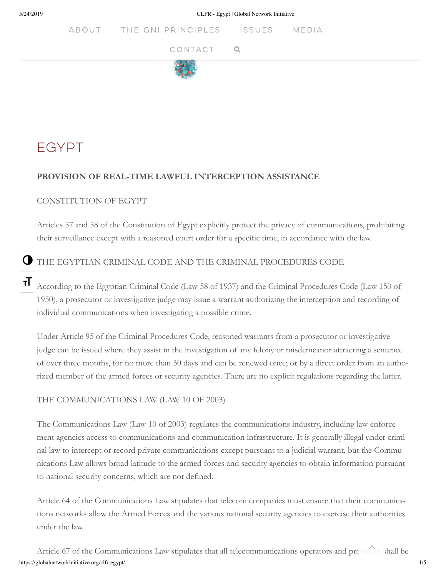5/24/2019 CLFR - Egypt | Global Network Initiative

ABOUT THE GNI PRINCIPLES ISSUES **MEDIA** 





# **EGYPT**

### **PROVISION OF REAL-TIME LAWFUL INTERCEPTION ASSISTANCE**

#### CONSTITUTION OF EGYPT

Articles 57 and 58 of the Constitution of Egypt explicitly protect the privacy of communications, prohibiting their surveillance except with a reasoned court order for a specific time, in accordance with the law.

## THE EGYPTIAN CRIMINAL CODE AND THE CRIMINAL PROCEDURES CODE

According to the Egyptian Criminal Code (Law 58 of 1937) and the Criminal Procedures Code (Law 150 of 1950), a prosecutor or investigative judge may issue a warrant authorizing the interception and recording of individual communications when investigating a possible crime. тT

Under Article 95 of the Criminal Procedures Code, reasoned warrants from a prosecutor or investigative judge can be issued where they assist in the investigation of any felony or misdemeanor attracting a sentence of over three months, for no more than 30 days and can be renewed once; or by a direct order from an authorized member of the armed forces or security agencies. There are no explicit regulations regarding the latter.

#### THE COMMUNICATIONS LAW (LAW 10 OF 2003)

The Communications Law (Law 10 of 2003) regulates the communications industry, including law enforcement agencies access to communications and communication infrastructure. It is generally illegal under criminal law to intercept or record private communications except pursuant to a judicial warrant, but the Communications Law allows broad latitude to the armed forces and security agencies to obtain information pursuant to national security concerns, which are not defined.

Article 64 of the Communications Law stipulates that telecom companies must ensure that their communications networks allow the Armed Forces and the various national security agencies to exercise their authorities under the law.

https://globalnetworkinitiative.org/clfr-egypt/ 1/5 Article 67 of the Communications Law stipulates that all telecommunications operators and providers shall be G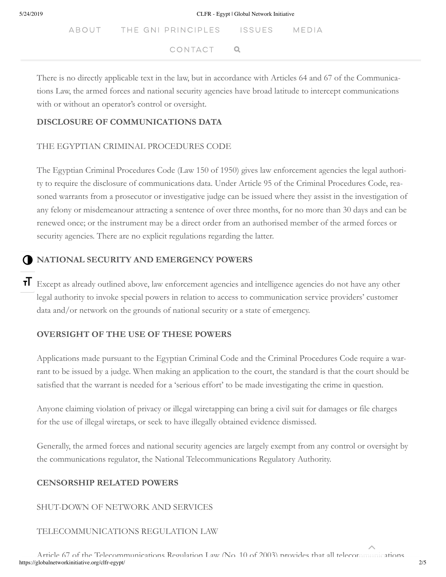ABOUT THE GNI PRINCIPLES ISSUES MEDIA including imprison in prins of the authorities. National security is defined at the authorities. National security is defined at the authorities of the authorities of the authorities. In the authorities of the authorities CONTACT Q

There is no directly applicable text in the law, but in accordance with Articles 64 and 67 of the Communications Law, the armed forces and national security agencies have broad latitude to intercept communications with or without an operator's control or oversight.

#### **DISCLOSURE OF COMMUNICATIONS DATA**

#### THE EGYPTIAN CRIMINAL PROCEDURES CODE

The Egyptian Criminal Procedures Code (Law 150 of 1950) gives law enforcement agencies the legal authority to require the disclosure of communications data. Under Article 95 of the Criminal Procedures Code, reasoned warrants from a prosecutor or investigative judge can be issued where they assist in the investigation of any felony or misdemeanour attracting a sentence of over three months, for no more than 30 days and can be renewed once; or the instrument may be a direct order from an authorised member of the armed forces or security agencies. There are no explicit regulations regarding the latter.

#### **NATIONAL SECURITY AND EMERGENCY POWERS** O

T Except as already outlined above, law enforcement agencies and intelligence agencies do not have any other legal authority to invoke special powers in relation to access to communication service providers' customer data and/or network on the grounds of national security or a state of emergency.

#### **OVERSIGHT OF THE USE OF THESE POWERS**

Applications made pursuant to the Egyptian Criminal Code and the Criminal Procedures Code require a warrant to be issued by a judge. When making an application to the court, the standard is that the court should be satisfied that the warrant is needed for a 'serious effort' to be made investigating the crime in question.

Anyone claiming violation of privacy or illegal wiretapping can bring a civil suit for damages or file charges for the use of illegal wiretaps, or seek to have illegally obtained evidence dismissed.

Generally, the armed forces and national security agencies are largely exempt from any control or oversight by the communications regulator, the National Telecommunications Regulatory Authority.

#### **CENSORSHIP RELATED POWERS**

#### SHUT-DOWN OF NETWORK AND SERVICES

## TELECOMMUNICATIONS REGULATION LAW